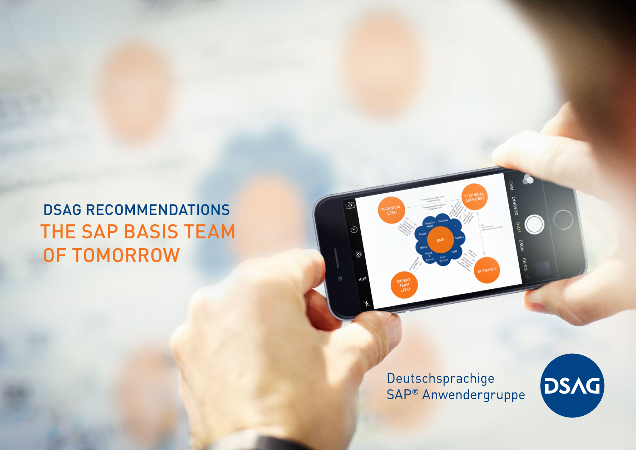# DSAG RECOMMENDATIONS THE SAP BASIS TEAM OF TOMORROW

Deutschsprachige SAP<sup>®</sup> Anwendergruppe

TECHNICAL

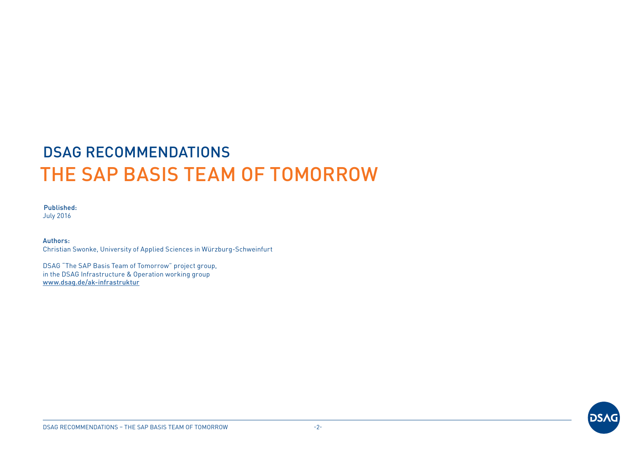# DSAG RECOMMENDATIONS THE SAP BASIS TEAM OF TOMORROW

#### Published: July 2016

Authors: Christian Swonke, University of Applied Sciences in Würzburg-Schweinfurt

DSAG "The SAP Basis Team of Tomorrow" project group, in the DSAG Infrastructure & Operation working group [www.dsag.de/ak-infrastruktur](http://www.dsag.de/ak-infrastruktur)

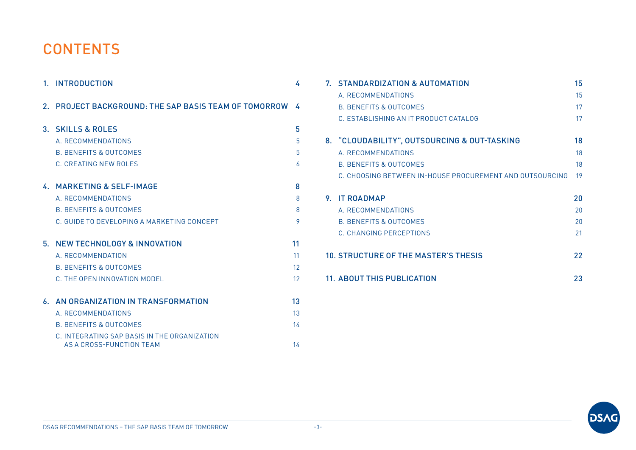## **CONTENTS**

|         | 1. INTRODUCTION                                                                                                                                                          | 4                    |
|---------|--------------------------------------------------------------------------------------------------------------------------------------------------------------------------|----------------------|
| $2_{-}$ | <b>PROJECT BACKGROUND: THE SAP BASIS TEAM OF TOMORROW</b>                                                                                                                | A                    |
|         | 3. SKILLS & ROLES<br>A. RECOMMENDATIONS<br><b>B. BENEFITS &amp; OUTCOMES</b><br>C. CREATING NEW ROLES                                                                    | 5<br>5<br>5<br>6     |
|         | 4. MARKETING & SELF-IMAGE<br>A RECOMMENDATIONS<br><b>B. BENEEITS &amp; OUTCOMES</b><br>C. GUIDE TO DEVELOPING A MARKETING CONCEPT                                        | 8<br>8<br>8<br>9     |
| 5.      | <b>NEW TECHNOLOGY &amp; INNOVATION</b><br>A. RECOMMENDATION<br><b>B. BENEFITS &amp; OUTCOMES</b><br>C. THE OPEN INNOVATION MODEL                                         | 11<br>11<br>12<br>12 |
| 6.      | AN ORGANIZATION IN TRANSFORMATION<br>A. RECOMMENDATIONS<br><b>B. BENEFITS &amp; OUTCOMES</b><br>C. INTEGRATING SAP BASIS IN THE ORGANIZATION<br>AS A CROSS-FUNCTION TFAM | 13<br>13<br>14<br>14 |

|                                                   | 7. STANDARDIZATION & AUTOMATION                          | 15 |
|---------------------------------------------------|----------------------------------------------------------|----|
|                                                   | A RECOMMENDATIONS                                        | 15 |
|                                                   | <b>B. BENEEITS &amp; OUTCOMES</b>                        | 17 |
|                                                   | C. ESTABLISHING AN IT PRODUCT CATALOG                    | 17 |
|                                                   | 8. "CLOUDABILITY", OUTSOURCING & OUT-TASKING             | 18 |
|                                                   | A RECOMMENDATIONS                                        | 18 |
|                                                   | B. BENEFITS & OUTCOMES                                   | 18 |
|                                                   | C. CHOOSING BETWEEN IN-HOUSE PROCUREMENT AND OUTSOURCING | 19 |
| 9.                                                | <b>IT ROADMAP</b>                                        | 20 |
|                                                   | A RECOMMENDATIONS                                        | 20 |
|                                                   | B. BENEFITS & OUTCOMES                                   | 20 |
|                                                   | C. CHANGING PERCEPTIONS                                  | 21 |
| <b>10. STRUCTURE OF THE MASTER'S THESIS</b><br>22 |                                                          |    |
|                                                   | <b>11. ABOUT THIS PUBLICATION</b>                        |    |

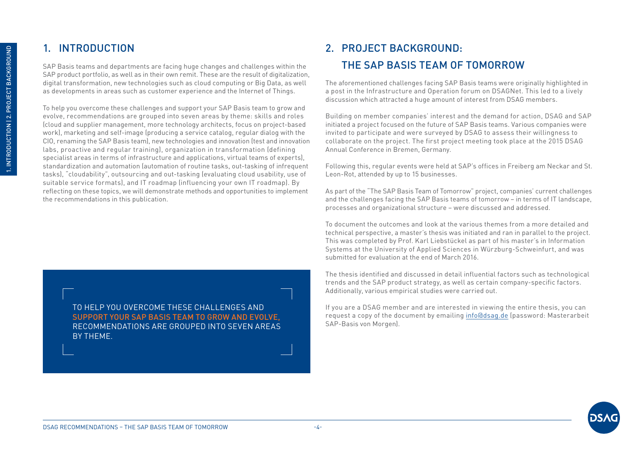## <span id="page-3-0"></span>1. INTRODUCTION

SAP Basis teams and departments are facing huge changes and challenges within the SAP product portfolio, as well as in their own remit. These are the result of digitalization, digital transformation, new technologies such as cloud computing or Big Data, as well as developments in areas such as customer experience and the Internet of Things.

To help you overcome these challenges and support your SAP Basis team to grow and evolve, recommendations are grouped into seven areas by theme: skills and roles (cloud and supplier management, more technology architects, focus on project-based work), marketing and self-image (producing a service catalog, regular dialog with the CIO, renaming the SAP Basis team), new technologies and innovation (test and innovation labs, proactive and regular training), organization in transformation (defining specialist areas in terms of infrastructure and applications, virtual teams of experts), standardization and automation (automation of routine tasks, out-tasking of infrequent tasks), "cloudability", outsourcing and out-tasking (evaluating cloud usability, use of suitable service formats), and IT roadmap (influencing your own IT roadmap). By reflecting on these topics, we will demonstrate methods and opportunities to implement the recommendations in this publication.

> TO HELP YOU OVERCOME THESE CHALLENGES AND SUPPORT YOUR SAP BASIS TEAM TO GROW AND EVOLVE, RECOMMENDATIONS ARE GROUPED INTO SEVEN AREAS BY THEME.

## 2. PROJECT BACKGROUND: THE SAP BASIS TEAM OF TOMORROW

The aforementioned challenges facing SAP Basis teams were originally highlighted in a post in the Infrastructure and Operation forum on DSAGNet. This led to a lively discussion which attracted a huge amount of interest from DSAG members.

Building on member companies' interest and the demand for action, DSAG and SAP initiated a project focused on the future of SAP Basis teams. Various companies were invited to participate and were surveyed by DSAG to assess their willingness to collaborate on the project. The first project meeting took place at the 2015 DSAG Annual Conference in Bremen, Germany.

Following this, regular events were held at SAP's offices in Freiberg am Neckar and St. Leon-Rot, attended by up to 15 businesses.

As part of the "The SAP Basis Team of Tomorrow" project, companies' current challenges and the challenges facing the SAP Basis teams of tomorrow – in terms of IT landscape, processes and organizational structure – were discussed and addressed.

To document the outcomes and look at the various themes from a more detailed and technical perspective, a master's thesis was initiated and ran in parallel to the project. This was completed by Prof. Karl Liebstückel as part of his master's in Information Systems at the University of Applied Sciences in Würzburg-Schweinfurt, and was submitted for evaluation at the end of March 2016.

The thesis identified and discussed in detail influential factors such as technological trends and the SAP product strategy, as well as certain company-specific factors. Additionally, various empirical studies were carried out.

If you are a DSAG member and are interested in viewing the entire thesis, you can request a copy of the document by emailing [info@dsag.de](mailto:info@dsag.de) (password: Masterarbeit SAP-Basis von Morgen).

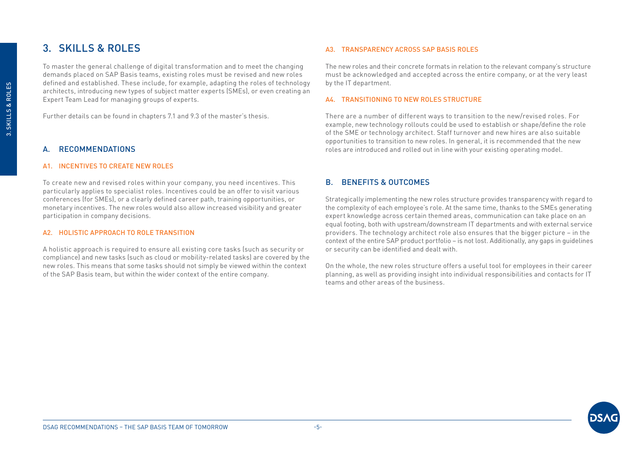## <span id="page-4-0"></span>3. SKILLS & ROLES

To master the general challenge of digital transformation and to meet the changing demands placed on SAP Basis teams, existing roles must be revised and new roles defined and established. These include, for example, adapting the roles of technology architects, introducing new types of subject matter experts (SMEs), or even creating an Expert Team Lead for managing groups of experts.

Further details can be found in chapters 7.1 and 9.3 of the master's thesis.

#### A. RECOMMENDATIONS

#### A1. INCENTIVES TO CREATE NEW ROLES

To create new and revised roles within your company, you need incentives. This particularly applies to specialist roles. Incentives could be an offer to visit various conferences (for SMEs), or a clearly defined career path, training opportunities, or monetary incentives. The new roles would also allow increased visibility and greater participation in company decisions.

#### A2. HOLISTIC APPROACH TO ROLE TRANSITION

A holistic approach is required to ensure all existing core tasks (such as security or compliance) and new tasks (such as cloud or mobility-related tasks) are covered by the new roles. This means that some tasks should not simply be viewed within the context of the SAP Basis team, but within the wider context of the entire company.

#### A3. TRANSPARENCY ACROSS SAP BASIS ROLES

The new roles and their concrete formats in relation to the relevant company's structure must be acknowledged and accepted across the entire company, or at the very least by the IT department.

#### A4. TRANSITIONING TO NEW ROLES STRUCTURE

There are a number of different ways to transition to the new/revised roles. For example, new technology rollouts could be used to establish or shape/define the role of the SME or technology architect. Staff turnover and new hires are also suitable opportunities to transition to new roles. In general, it is recommended that the new roles are introduced and rolled out in line with your existing operating model.

#### B. BENEFITS & OUTCOMES

Strategically implementing the new roles structure provides transparency with regard to the complexity of each employee's role. At the same time, thanks to the SMEs generating expert knowledge across certain themed areas, communication can take place on an equal footing, both with upstream/downstream IT departments and with external service providers. The technology architect role also ensures that the bigger picture – in the context of the entire SAP product portfolio – is not lost. Additionally, any gaps in guidelines or security can be identified and dealt with.

On the whole, the new roles structure offers a useful tool for employees in their career planning, as well as providing insight into individual responsibilities and contacts for IT teams and other areas of the business.

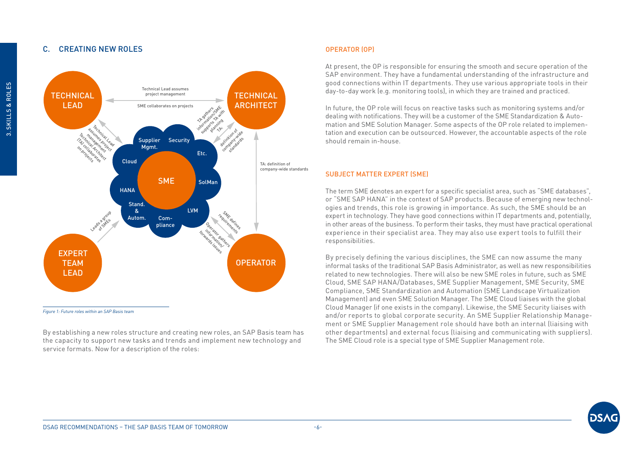#### <span id="page-5-0"></span>C. CREATING NEW ROLES



*Figure 1: Future roles within an SAP Basis team*

By establishing a new roles structure and creating new roles, an SAP Basis team has the capacity to support new tasks and trends and implement new technology and service formats. Now for a description of the roles:

#### OPERATOR (OP)

At present, the OP is responsible for ensuring the smooth and secure operation of the SAP environment. They have a fundamental understanding of the infrastructure and good connections within IT departments. They use various appropriate tools in their day-to-day work (e.g. monitoring tools), in which they are trained and practiced.

In future, the OP role will focus on reactive tasks such as monitoring systems and/or dealing with notifications. They will be a customer of the SME Standardization & Automation and SME Solution Manager. Some aspects of the OP role related to implementation and execution can be outsourced. However, the accountable aspects of the role should remain in-house.

#### SUBJECT MATTER EXPERT (SME)

The term SME denotes an expert for a specific specialist area, such as "SME databases", or "SME SAP HANA" in the context of SAP products. Because of emerging new technologies and trends, this role is growing in importance. As such, the SME should be an expert in technology. They have good connections within IT departments and, potentially, in other areas of the business. To perform their tasks, they must have practical operational experience in their specialist area. They may also use expert tools to fulfill their responsibilities.

By precisely defining the various disciplines, the SME can now assume the many informal tasks of the traditional SAP Basis Administrator, as well as new responsibilities related to new technologies. There will also be new SME roles in future, such as SME Cloud, SME SAP HANA/Databases, SME Supplier Management, SME Security, SME Compliance, SME Standardization and Automation (SME Landscape Virtualization Management) and even SME Solution Manager. The SME Cloud liaises with the global Cloud Manager (if one exists in the company). Likewise, the SME Security liaises with and/or reports to global corporate security. An SME Supplier Relationship Management or SME Supplier Management role should have both an internal (liaising with other departments) and external focus (liaising and communicating with suppliers). The SME Cloud role is a special type of SME Supplier Management role.

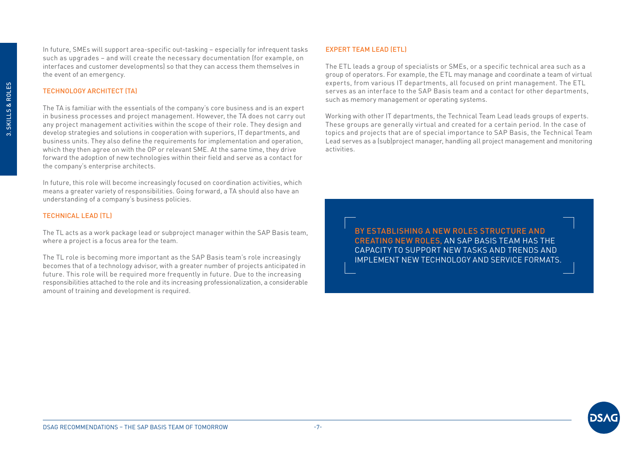In future, SMEs will support area-specific out-tasking – especially for infrequent tasks such as upgrades – and will create the necessary documentation (for example, on interfaces and customer developments) so that they can access them themselves in the event of an emergency.

#### TECHNOLOGY ARCHITECT (TA)

The TA is familiar with the essentials of the company's core business and is an expert in business processes and project management. However, the TA does not carry out any project management activities within the scope of their role. They design and develop strategies and solutions in cooperation with superiors, IT departments, and business units. They also define the requirements for implementation and operation, which they then agree on with the OP or relevant SME. At the same time, they drive forward the adoption of new technologies within their field and serve as a contact for the company's enterprise architects.

In future, this role will become increasingly focused on coordination activities, which means a greater variety of responsibilities. Going forward, a TA should also have an understanding of a company's business policies.

#### TECHNICAL LEAD (TL)

The TL acts as a work package lead or subproject manager within the SAP Basis team, where a project is a focus area for the team.

The TL role is becoming more important as the SAP Basis team's role increasingly becomes that of a technology advisor, with a greater number of projects anticipated in future. This role will be required more frequently in future. Due to the increasing responsibilities attached to the role and its increasing professionalization, a considerable amount of training and development is required.

#### EXPERT TEAM LEAD (ETL)

The ETL leads a group of specialists or SMEs, or a specific technical area such as a group of operators. For example, the ETL may manage and coordinate a team of virtual experts, from various IT departments, all focused on print management. The ETL serves as an interface to the SAP Basis team and a contact for other departments, such as memory management or operating systems.

Working with other IT departments, the Technical Team Lead leads groups of experts. These groups are generally virtual and created for a certain period. In the case of topics and projects that are of special importance to SAP Basis, the Technical Team Lead serves as a (sub)project manager, handling all project management and monitoring activities.

> BY ESTABLISHING A NEW ROLES STRUCTURE AND CREATING NEW ROLES, AN SAP BASIS TEAM HAS THE CAPACITY TO SUPPORT NEW TASKS AND TRENDS AND IMPLEMENT NEW TECHNOLOGY AND SERVICE FORMATS.

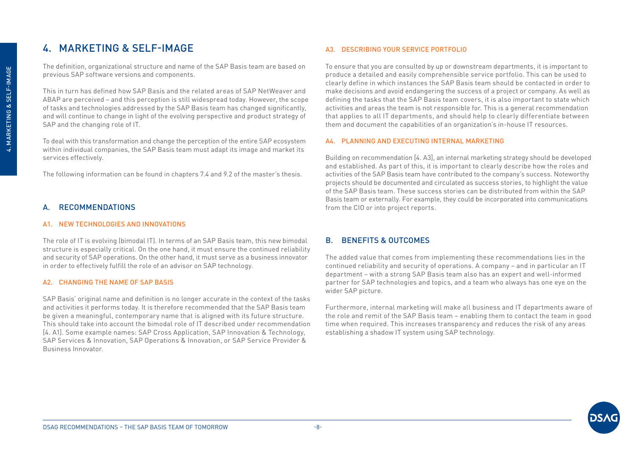## <span id="page-7-0"></span>4. MARKETING & SELF-IMAGE

The definition, organizational structure and name of the SAP Basis team are based on previous SAP software versions and components.

This in turn has defined how SAP Basis and the related areas of SAP NetWeaver and ABAP are perceived – and this perception is still widespread today. However, the scope of tasks and technologies addressed by the SAP Basis team has changed significantly, and will continue to change in light of the evolving perspective and product strategy of SAP and the changing role of IT.

To deal with this transformation and change the perception of the entire SAP ecosystem within individual companies, the SAP Basis team must adapt its image and market its services effectively.

The following information can be found in chapters 7.4 and 9.2 of the master's thesis.

#### A. RECOMMENDATIONS

#### A1. NEW TECHNOLOGIES AND INNOVATIONS

The role of IT is evolving (bimodal IT). In terms of an SAP Basis team, this new bimodal structure is especially critical. On the one hand, it must ensure the continued reliability and security of SAP operations. On the other hand, it must serve as a business innovator in order to effectively fulfill the role of an advisor on SAP technology.

#### A2. CHANGING THE NAME OF SAP BASIS

SAP Basis' original name and definition is no longer accurate in the context of the tasks and activities it performs today. It is therefore recommended that the SAP Basis team be given a meaningful, contemporary name that is aligned with its future structure. This should take into account the bimodal role of IT described under recommendation [4. A1]. Some example names: SAP Cross Application, SAP Innovation & Technology, SAP Services & Innovation, SAP Operations & Innovation, or SAP Service Provider & Business Innovator.

#### A3. DESCRIBING YOUR SERVICE PORTFOLIO

To ensure that you are consulted by up or downstream departments, it is important to produce a detailed and easily comprehensible service portfolio. This can be used to clearly define in which instances the SAP Basis team should be contacted in order to make decisions and avoid endangering the success of a project or company. As well as defining the tasks that the SAP Basis team covers, it is also important to state which activities and areas the team is not responsible for. This is a general recommendation that applies to all IT departments, and should help to clearly differentiate between them and document the capabilities of an organization's in-house IT resources.

#### A4. PLANNING AND EXECUTING INTERNAL MARKETING

Building on recommendation [4. A3], an internal marketing strategy should be developed and established. As part of this, it is important to clearly describe how the roles and activities of the SAP Basis team have contributed to the company's success. Noteworthy projects should be documented and circulated as success stories, to highlight the value of the SAP Basis team. These success stories can be distributed from within the SAP Basis team or externally. For example, they could be incorporated into communications from the CIO or into project reports.

#### B. BENEFITS & OUTCOMES

The added value that comes from implementing these recommendations lies in the continued reliability and security of operations. A company – and in particular an IT department – with a strong SAP Basis team also has an expert and well-informed partner for SAP technologies and topics, and a team who always has one eye on the wider SAP picture.

Furthermore, internal marketing will make all business and IT departments aware of the role and remit of the SAP Basis team – enabling them to contact the team in good time when required. This increases transparency and reduces the risk of any areas establishing a shadow IT system using SAP technology.

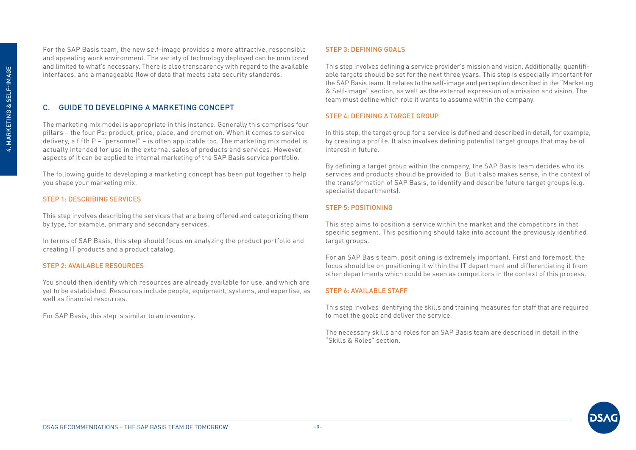<span id="page-8-0"></span>For the SAP Basis team, the new self-image provides a more attractive, responsible and appealing work environment. The variety of technology deployed can be monitored and limited to what's necessary. There is also transparency with regard to the available interfaces, and a manageable flow of data that meets data security standards.

#### C. GUIDE TO DEVELOPING A MARKETING CONCEPT

The marketing mix model is appropriate in this instance. Generally this comprises four pillars – the four Ps: product, price, place, and promotion. When it comes to service delivery, a fifth P – "personnel" – is often applicable too. The marketing mix model is actually intended for use in the external sales of products and services. However, aspects of it can be applied to internal marketing of the SAP Basis service portfolio.

The following guide to developing a marketing concept has been put together to help you shape your marketing mix.

#### STEP 1: DESCRIBING SERVICES

This step involves describing the services that are being offered and categorizing them by type, for example, primary and secondary services.

In terms of SAP Basis, this step should focus on analyzing the product portfolio and creating IT products and a product catalog.

#### STEP 2: AVAILABLE RESOURCES

You should then identify which resources are already available for use, and which are yet to be established. Resources include people, equipment, systems, and expertise, as well as financial resources.

For SAP Basis, this step is similar to an inventory.

#### STEP 3: DEFINING GOALS

This step involves defining a service provider's mission and vision. Additionally, quantifiable targets should be set for the next three years. This step is especially important for the SAP Basis team. It relates to the self-image and perception described in the "Marketing & Self-image" section, as well as the external expression of a mission and vision. The team must define which role it wants to assume within the company.

#### STEP 4: DEFINING A TARGET GROUP

In this step, the target group for a service is defined and described in detail, for example, by creating a profile. It also involves defining potential target groups that may be of interest in future.

By defining a target group within the company, the SAP Basis team decides who its services and products should be provided to. But it also makes sense, in the context of the transformation of SAP Basis, to identify and describe future target groups (e.g. specialist departments).

#### STEP 5: POSITIONING

This step aims to position a service within the market and the competitors in that specific segment. This positioning should take into account the previously identified target groups.

For an SAP Basis team, positioning is extremely important. First and foremost, the focus should be on positioning it within the IT department and differentiating it from other departments which could be seen as competitors in the context of this process.

#### STEP 6: AVAILABLE STAFF

This step involves identifying the skills and training measures for staff that are required to meet the goals and deliver the service.

The necessary skills and roles for an SAP Basis team are described in detail in the "Skills & Roles" section.

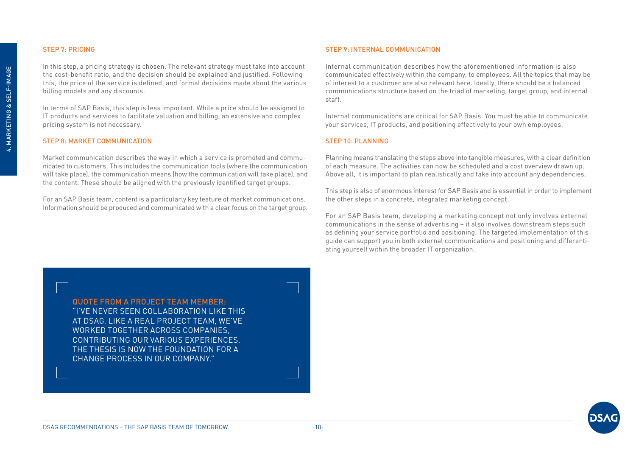#### STEP 7: PRICING

In this step, a pricing strategy is chosen. The relevant strategy must take into account the cost-benefit ratio, and the decision should be explained and justified. Following this, the price of the service is defined, and formal decisions made about the various billing models and any discounts.

In terms of SAP Basis, this step is less important. While a price should be assigned to IT products and services to facilitate valuation and billing, an extensive and complex pricing system is not necessary.

#### STEP 8: MARKET COMMUNICATION

Market communication describes the way in which a service is promoted and communicated to customers. This includes the communication tools (where the communication will take place), the communication means (how the communication will take place), and the content. These should be aligned with the previously identified target groups.

For an SAP Basis team, content is a particularly key feature of market communications. Information should be produced and communicated with a clear focus on the target group.

#### STEP 9: INTERNAL COMMUNICATION

Internal communication describes how the aforementioned information is also communicated effectively within the company, to employees. All the topics that may be of interest to a customer are also relevant here. Ideally, there should be a balanced communications structure based on the triad of marketing, target group, and internal staff.

Internal communications are critical for SAP Basis. You must be able to communicate your services, IT products, and positioning effectively to your own employees.

#### STEP 10: PLANNING

Planning means translating the steps above into tangible measures, with a clear definition of each measure. The activities can now be scheduled and a cost overview drawn up. Above all, it is important to plan realistically and take into account any dependencies.

This step is also of enormous interest for SAP Basis and is essential in order to implement the other steps in a concrete, integrated marketing concept.

For an SAP Basis team, developing a marketing concept not only involves external communications in the sense of advertising – it also involves downstream steps such as defining your service portfolio and positioning. The targeted implementation of this guide can support you in both external communications and positioning and differentiating yourself within the broader IT organization.

QUOTE FROM A PROJECT TEAM MEMBER: "I'VE NEVER SEEN COLLABORATION LIKE THIS AT DSAG. LIKE A REAL PROJECT TEAM, WE'VE

WORKED TOGETHER ACROSS COMPANIES, CONTRIBUTING OUR VARIOUS EXPERIENCES. THE THESIS IS NOW THE FOUNDATION FOR A CHANGE PROCESS IN OUR COMPANY."

4. MARKETING & SELF-IMAGE 4. MARKETING & SELF-IMAGE

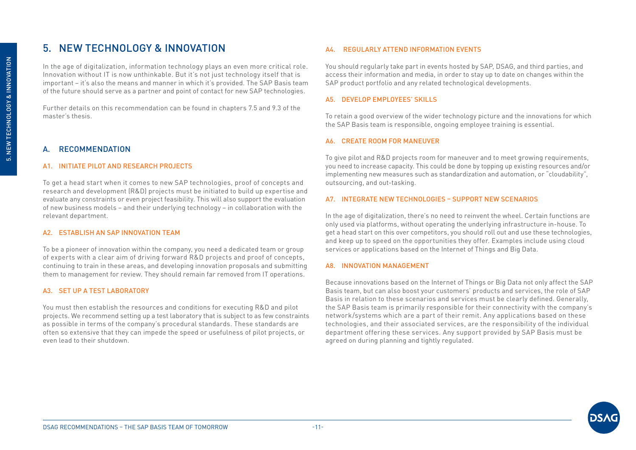## <span id="page-10-0"></span>5. NEW TECHNOLOGY & INNOVATION

In the age of digitalization, information technology plays an even more critical role. Innovation without IT is now unthinkable. But it's not just technology itself that is important – it's also the means and manner in which it's provided. The SAP Basis team of the future should serve as a partner and point of contact for new SAP technologies.

Further details on this recommendation can be found in chapters 7.5 and 9.3 of the master's thesis.

#### A. RECOMMENDATION

#### A1. INITIATE PILOT AND RESEARCH PROJECTS

To get a head start when it comes to new SAP technologies, proof of concepts and research and development (R&D) projects must be initiated to build up expertise and evaluate any constraints or even project feasibility. This will also support the evaluation of new business models – and their underlying technology – in collaboration with the relevant department.

#### A2. ESTABLISH AN SAP INNOVATION TEAM

To be a pioneer of innovation within the company, you need a dedicated team or group of experts with a clear aim of driving forward R&D projects and proof of concepts, continuing to train in these areas, and developing innovation proposals and submitting them to management for review. They should remain far removed from IT operations.

#### A3. SET UP A TEST LABORATORY

You must then establish the resources and conditions for executing R&D and pilot projects. We recommend setting up a test laboratory that is subject to as few constraints as possible in terms of the company's procedural standards. These standards are often so extensive that they can impede the speed or usefulness of pilot projects, or even lead to their shutdown.

#### A4. REGULARLY ATTEND INFORMATION EVENTS

You should regularly take part in events hosted by SAP, DSAG, and third parties, and access their information and media, in order to stay up to date on changes within the SAP product portfolio and any related technological developments.

#### A5. DEVELOP EMPLOYEES' SKILLS

To retain a good overview of the wider technology picture and the innovations for which the SAP Basis team is responsible, ongoing employee training is essential.

#### A6. CREATE ROOM FOR MANEUVER

To give pilot and R&D projects room for maneuver and to meet growing requirements, you need to increase capacity. This could be done by topping up existing resources and/or implementing new measures such as standardization and automation, or "cloudability", outsourcing, and out-tasking.

#### A7. INTEGRATE NEW TECHNOLOGIES – SUPPORT NEW SCENARIOS

In the age of digitalization, there's no need to reinvent the wheel. Certain functions are only used via platforms, without operating the underlying infrastructure in-house. To get a head start on this over competitors, you should roll out and use these technologies, and keep up to speed on the opportunities they offer. Examples include using cloud services or applications based on the Internet of Things and Big Data.

#### A8. INNOVATION MANAGEMENT

Because innovations based on the Internet of Things or Big Data not only affect the SAP Basis team, but can also boost your customers' products and services, the role of SAP Basis in relation to these scenarios and services must be clearly defined. Generally, the SAP Basis team is primarily responsible for their connectivity with the company's network/systems which are a part of their remit. Any applications based on these technologies, and their associated services, are the responsibility of the individual department offering these services. Any support provided by SAP Basis must be agreed on during planning and tightly regulated.

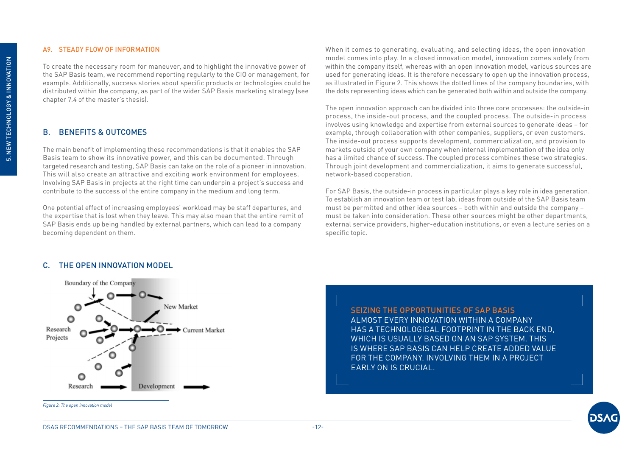#### <span id="page-11-0"></span>A9. STEADY FLOW OF INFORMATION

To create the necessary room for maneuver, and to highlight the innovative power of the SAP Basis team, we recommend reporting regularly to the CIO or management, for example. Additionally, success stories about specific products or technologies could be distributed within the company, as part of the wider SAP Basis marketing strategy (see chapter 7.4 of the master's thesis).

#### B. BENEFITS & OUTCOMES

The main benefit of implementing these recommendations is that it enables the SAP Basis team to show its innovative power, and this can be documented. Through targeted research and testing, SAP Basis can take on the role of a pioneer in innovation. This will also create an attractive and exciting work environment for employees. Involving SAP Basis in projects at the right time can underpin a project's success and contribute to the success of the entire company in the medium and long term.

One potential effect of increasing employees' workload may be staff departures, and the expertise that is lost when they leave. This may also mean that the entire remit of SAP Basis ends up being handled by external partners, which can lead to a company becoming dependent on them.

When it comes to generating, evaluating, and selecting ideas, the open innovation model comes into play. In a closed innovation model, innovation comes solely from within the company itself, whereas with an open innovation model, various sources are used for generating ideas. It is therefore necessary to open up the innovation process, as illustrated in Figure 2. This shows the dotted lines of the company boundaries, with the dots representing ideas which can be generated both within and outside the company.

The open innovation approach can be divided into three core processes: the outside-in process, the inside-out process, and the coupled process. The outside-in process involves using knowledge and expertise from external sources to generate ideas – for example, through collaboration with other companies, suppliers, or even customers. The inside-out process supports development, commercialization, and provision to markets outside of your own company when internal implementation of the idea only has a limited chance of success. The coupled process combines these two strategies. Through joint development and commercialization, it aims to generate successful, network-based cooperation.

For SAP Basis, the outside-in process in particular plays a key role in idea generation. To establish an innovation team or test lab, ideas from outside of the SAP Basis team must be permitted and other idea sources – both within and outside the company – must be taken into consideration. These other sources might be other departments, external service providers, higher-education institutions, or even a lecture series on a specific topic.

#### C. THE OPEN INNOVATION MODEL



*Figure 2: The open innovation model*

SEIZING THE OPPORTUNITIES OF SAP BASIS ALMOST EVERY INNOVATION WITHIN A COMPANY HAS A TECHNOLOGICAL FOOTPRINT IN THE BACK END, WHICH IS USUALLY BASED ON AN SAP SYSTEM. THIS IS WHERE SAP BASIS CAN HELP CREATE ADDED VALUE FOR THE COMPANY. INVOLVING THEM IN A PROJECT EARLY ON IS CRUCIAL.

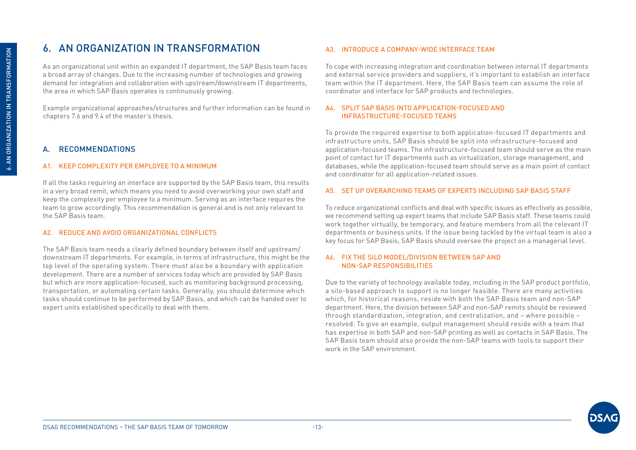## <span id="page-12-0"></span>6. AN ORGANIZATION IN TRANSFORMATION

As an organizational unit within an expanded IT department, the SAP Basis team faces a broad array of changes. Due to the increasing number of technologies and growing demand for integration and collaboration with upstream/downstream IT departments, the area in which SAP Basis operates is continuously growing.

Example organizational approaches/structures and further information can be found in chapters 7.6 and 9.4 of the master's thesis.

#### A. RECOMMENDATIONS

#### A1. KEEP COMPLEXITY PER EMPLOYEE TO A MINIMUM

If all the tasks requiring an interface are supported by the SAP Basis team, this results in a very broad remit, which means you need to avoid overworking your own staff and keep the complexity per employee to a minimum. Serving as an interface requires the team to grow accordingly. This recommendation is general and is not only relevant to the SAP Basis team.

#### A2. REDUCE AND AVOID ORGANIZATIONAL CONFLICTS

The SAP Basis team needs a clearly defined boundary between itself and upstream/ downstream IT departments. For example, in terms of infrastructure, this might be the top level of the operating system. There must also be a boundary with application development. There are a number of services today which are provided by SAP Basis but which are more application-focused, such as monitoring background processing, transportation, or automating certain tasks. Generally, you should determine which tasks should continue to be performed by SAP Basis, and which can be handed over to expert units established specifically to deal with them.

#### A3. INTRODUCE A COMPANY-WIDE INTERFACE TEAM

To cope with increasing integration and coordination between internal IT departments and external service providers and suppliers, it's important to establish an interface team within the IT department. Here, the SAP Basis team can assume the role of coordinator and interface for SAP products and technologies.

#### A4. SPLIT SAP BASIS INTO APPLICATION-FOCUSED AND INFRASTRUCTURE-FOCUSED TEAMS

To provide the required expertise to both application-focused IT departments and infrastructure units, SAP Basis should be split into infrastructure-focused and application-focused teams. The infrastructure-focused team should serve as the main point of contact for IT departments such as virtualization, storage management, and databases, while the application-focused team should serve as a main point of contact and coordinator for all application-related issues.

#### A5. SET UP OVERARCHING TEAMS OF EXPERTS INCLUDING SAP BASIS STAFF

To reduce organizational conflicts and deal with specific issues as effectively as possible, we recommend setting up expert teams that include SAP Basis staff. These teams could work together virtually, be temporary, and feature members from all the relevant IT departments or business units. If the issue being tackled by the virtual team is also a key focus for SAP Basis, SAP Basis should oversee the project on a managerial level.

#### A6. FIX THE SILO MODEL/DIVISION BETWEEN SAP AND NON-SAP RESPONSIBILITIES

Due to the variety of technology available today, including in the SAP product portfolio, a silo-based approach to support is no longer feasible. There are many activities which, for historical reasons, reside with both the SAP Basis team and non-SAP department. Here, the division between SAP and non-SAP remits should be reviewed through standardization, integration, and centralization, and – where possible – resolved. To give an example, output management should reside with a team that has expertise in both SAP and non-SAP printing as well as contacts in SAP Basis. The SAP Basis team should also provide the non-SAP teams with tools to support their work in the SAP environment.

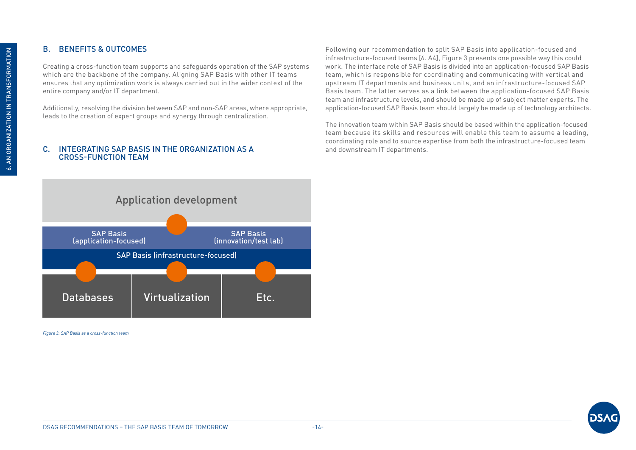#### <span id="page-13-0"></span>B. BENEFITS & OUTCOMES

Creating a cross-function team supports and safeguards operation of the SAP systems which are the backbone of the company. Aligning SAP Basis with other IT teams ensures that any optimization work is always carried out in the wider context of the entire company and/or IT department.

Additionally, resolving the division between SAP and non-SAP areas, where appropriate, leads to the creation of expert groups and synergy through centralization.

#### C. INTEGRATING SAP BASIS IN THE ORGANIZATION AS A CROSS-FUNCTION TEAM

Following our recommendation to split SAP Basis into application-focused and infrastructure-focused teams [6. A4], Figure 3 presents one possible way this could work. The interface role of SAP Basis is divided into an application-focused SAP Basis team, which is responsible for coordinating and communicating with vertical and upstream IT departments and business units, and an infrastructure-focused SAP Basis team. The latter serves as a link between the application-focused SAP Basis team and infrastructure levels, and should be made up of subject matter experts. The application-focused SAP Basis team should largely be made up of technology architects.

The innovation team within SAP Basis should be based within the application-focused team because its skills and resources will enable this team to assume a leading, coordinating role and to source expertise from both the infrastructure-focused team and downstream IT departments.



*Figure 3: SAP Basis as a cross-function team*

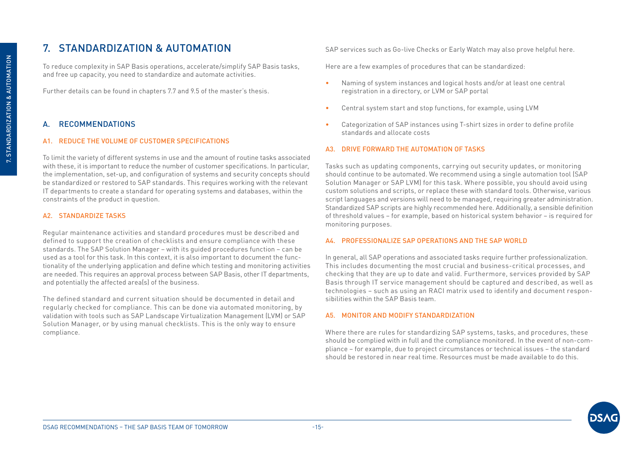## <span id="page-14-0"></span>7. STANDARDIZATION & AUTOMATION

To reduce complexity in SAP Basis operations, accelerate/simplify SAP Basis tasks, and free up capacity, you need to standardize and automate activities.

Further details can be found in chapters 7.7 and 9.5 of the master's thesis.

#### A. RECOMMENDATIONS

#### A1. REDUCE THE VOLUME OF CUSTOMER SPECIFICATIONS

To limit the variety of different systems in use and the amount of routine tasks associated with these, it is important to reduce the number of customer specifications. In particular, the implementation, set-up, and configuration of systems and security concepts should be standardized or restored to SAP standards. This requires working with the relevant IT departments to create a standard for operating systems and databases, within the constraints of the product in question.

#### A2. STANDARDIZE TASKS

Regular maintenance activities and standard procedures must be described and defined to support the creation of checklists and ensure compliance with these standards. The SAP Solution Manager – with its guided procedures function – can be used as a tool for this task. In this context, it is also important to document the functionality of the underlying application and define which testing and monitoring activities are needed. This requires an approval process between SAP Basis, other IT departments, and potentially the affected area(s) of the business.

The defined standard and current situation should be documented in detail and regularly checked for compliance. This can be done via automated monitoring, by validation with tools such as SAP Landscape Virtualization Management (LVM) or SAP Solution Manager, or by using manual checklists. This is the only way to ensure compliance.

SAP services such as Go-live Checks or Early Watch may also prove helpful here.

Here are a few examples of procedures that can be standardized:

- Naming of system instances and logical hosts and/or at least one central registration in a directory, or LVM or SAP portal
- Central system start and stop functions, for example, using LVM
- Categorization of SAP instances using T-shirt sizes in order to define profile standards and allocate costs

#### A3. DRIVE FORWARD THE AUTOMATION OF TASKS

Tasks such as updating components, carrying out security updates, or monitoring should continue to be automated. We recommend using a single automation tool (SAP Solution Manager or SAP LVM) for this task. Where possible, you should avoid using custom solutions and scripts, or replace these with standard tools. Otherwise, various script languages and versions will need to be managed, requiring greater administration. Standardized SAP scripts are highly recommended here. Additionally, a sensible definition of threshold values – for example, based on historical system behavior – is required for monitoring purposes.

#### A4. PROFESSIONALIZE SAP OPERATIONS AND THE SAP WORLD

In general, all SAP operations and associated tasks require further professionalization. This includes documenting the most crucial and business-critical processes, and checking that they are up to date and valid. Furthermore, services provided by SAP Basis through IT service management should be captured and described, as well as technologies – such as using an RACI matrix used to identify and document responsibilities within the SAP Basis team.

#### A5. MONITOR AND MODIFY STANDARDIZATION

Where there are rules for standardizing SAP systems, tasks, and procedures, these should be complied with in full and the compliance monitored. In the event of non-compliance – for example, due to project circumstances or technical issues – the standard should be restored in near real time. Resources must be made available to do this.

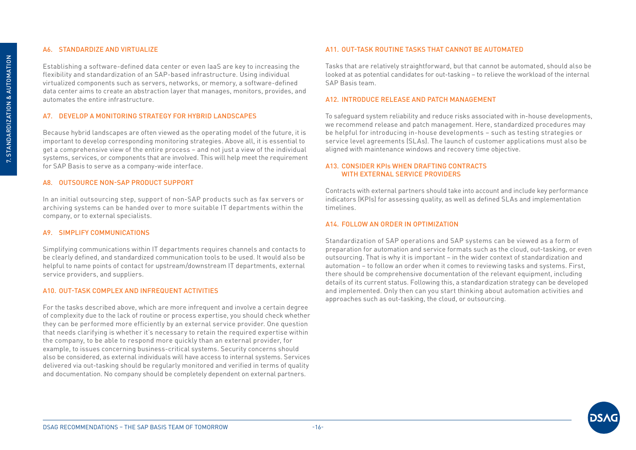#### A6. STANDARDIZE AND VIRTUALIZE

Establishing a software-defined data center or even IaaS are key to increasing the flexibility and standardization of an SAP-based infrastructure. Using individual virtualized components such as servers, networks, or memory, a software-defined data center aims to create an abstraction layer that manages, monitors, provides, and automates the entire infrastructure.

#### A7. DEVELOP A MONITORING STRATEGY FOR HYBRID LANDSCAPES

Because hybrid landscapes are often viewed as the operating model of the future, it is important to develop corresponding monitoring strategies. Above all, it is essential to get a comprehensive view of the entire process – and not just a view of the individual systems, services, or components that are involved. This will help meet the requirement for SAP Basis to serve as a company-wide interface.

#### A8. OUTSOURCE NON-SAP PRODUCT SUPPORT

In an initial outsourcing step, support of non-SAP products such as fax servers or archiving systems can be handed over to more suitable IT departments within the company, or to external specialists.

#### A9. SIMPLIFY COMMUNICATIONS

Simplifying communications within IT departments requires channels and contacts to be clearly defined, and standardized communication tools to be used. It would also be helpful to name points of contact for upstream/downstream IT departments, external service providers, and suppliers.

#### A10. OUT-TASK COMPLEX AND INFREQUENT ACTIVITIES

For the tasks described above, which are more infrequent and involve a certain degree of complexity due to the lack of routine or process expertise, you should check whether they can be performed more efficiently by an external service provider. One question that needs clarifying is whether it's necessary to retain the required expertise within the company, to be able to respond more quickly than an external provider, for example, to issues concerning business-critical systems. Security concerns should also be considered, as external individuals will have access to internal systems. Services delivered via out-tasking should be regularly monitored and verified in terms of quality and documentation. No company should be completely dependent on external partners.

#### A11. OUT-TASK ROUTINE TASKS THAT CANNOT BE AUTOMATED

Tasks that are relatively straightforward, but that cannot be automated, should also be looked at as potential candidates for out-tasking – to relieve the workload of the internal SAP Basis team.

#### A12. INTRODUCE RELEASE AND PATCH MANAGEMENT

To safeguard system reliability and reduce risks associated with in-house developments, we recommend release and patch management. Here, standardized procedures may be helpful for introducing in-house developments – such as testing strategies or service level agreements (SLAs). The launch of customer applications must also be aligned with maintenance windows and recovery time objective.

#### A13. CONSIDER KPIs WHEN DRAFTING CONTRACTS WITH EXTERNAL SERVICE PROVIDERS

Contracts with external partners should take into account and include key performance indicators (KPIs) for assessing quality, as well as defined SLAs and implementation timelines.

#### A14. FOLLOW AN ORDER IN OPTIMIZATION

Standardization of SAP operations and SAP systems can be viewed as a form of preparation for automation and service formats such as the cloud, out-tasking, or even outsourcing. That is why it is important – in the wider context of standardization and automation – to follow an order when it comes to reviewing tasks and systems. First, there should be comprehensive documentation of the relevant equipment, including details of its current status. Following this, a standardization strategy can be developed and implemented. Only then can you start thinking about automation activities and approaches such as out-tasking, the cloud, or outsourcing.

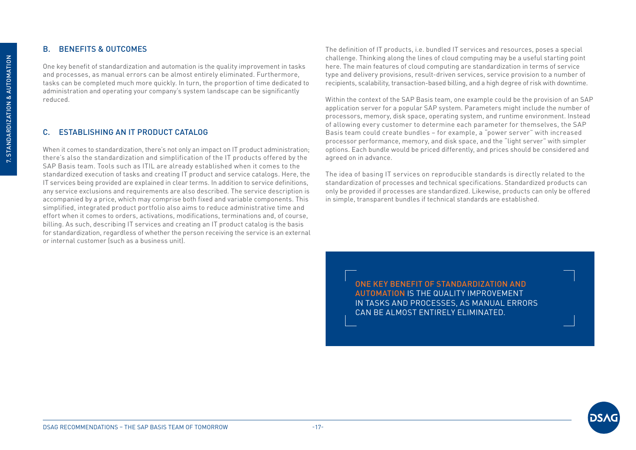### <span id="page-16-0"></span>B. BENEFITS & OUTCOMES

One key benefit of standardization and automation is the quality improvement in tasks and processes, as manual errors can be almost entirely eliminated. Furthermore, tasks can be completed much more quickly. In turn, the proportion of time dedicated to administration and operating your company's system landscape can be significantly reduced.

#### C. ESTABLISHING AN IT PRODUCT CATALOG

When it comes to standardization, there's not only an impact on IT product administration; there's also the standardization and simplification of the IT products offered by the SAP Basis team. Tools such as ITIL are already established when it comes to the standardized execution of tasks and creating IT product and service catalogs. Here, the IT services being provided are explained in clear terms. In addition to service definitions, any service exclusions and requirements are also described. The service description is accompanied by a price, which may comprise both fixed and variable components. This simplified, integrated product portfolio also aims to reduce administrative time and effort when it comes to orders, activations, modifications, terminations and, of course, billing. As such, describing IT services and creating an IT product catalog is the basis for standardization, regardless of whether the person receiving the service is an external or internal customer (such as a business unit).

The definition of IT products, i.e. bundled IT services and resources, poses a special challenge. Thinking along the lines of cloud computing may be a useful starting point here. The main features of cloud computing are standardization in terms of service type and delivery provisions, result-driven services, service provision to a number of recipients, scalability, transaction-based billing, and a high degree of risk with downtime.

Within the context of the SAP Basis team, one example could be the provision of an SAP application server for a popular SAP system. Parameters might include the number of processors, memory, disk space, operating system, and runtime environment. Instead of allowing every customer to determine each parameter for themselves, the SAP Basis team could create bundles – for example, a "power server" with increased processor performance, memory, and disk space, and the "light server" with simpler options. Each bundle would be priced differently, and prices should be considered and agreed on in advance.

The idea of basing IT services on reproducible standards is directly related to the standardization of processes and technical specifications. Standardized products can only be provided if processes are standardized. Likewise, products can only be offered in simple, transparent bundles if technical standards are established.

> ONE KEY BENEFIT OF STANDARDIZATION AND AUTOMATION IS THE QUALITY IMPROVEMENT IN TASKS AND PROCESSES, AS MANUAL ERRORS CAN BE ALMOST ENTIRELY ELIMINATED.

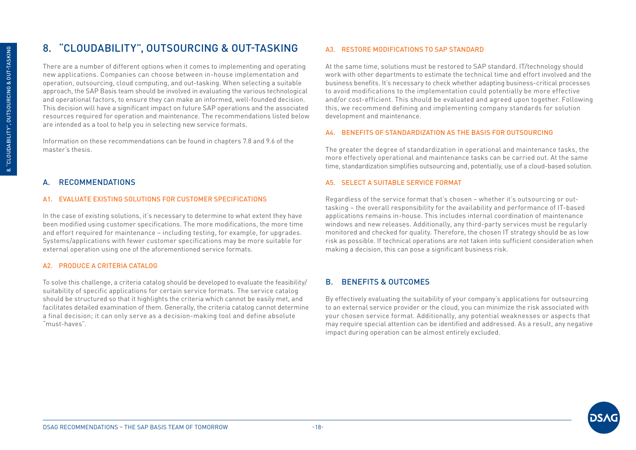## <span id="page-17-0"></span>8. "CLOUDABILITY", OUTSOURCING & OUT-TASKING

There are a number of different options when it comes to implementing and operating new applications. Companies can choose between in-house implementation and operation, outsourcing, cloud computing, and out-tasking. When selecting a suitable approach, the SAP Basis team should be involved in evaluating the various technological and operational factors, to ensure they can make an informed, well-founded decision. This decision will have a significant impact on future SAP operations and the associated resources required for operation and maintenance. The recommendations listed below are intended as a tool to help you in selecting new service formats.

Information on these recommendations can be found in chapters 7.8 and 9.6 of the master's thesis.

#### A. RECOMMENDATIONS

#### A1. EVALUATE EXISTING SOLUTIONS FOR CUSTOMER SPECIFICATIONS

In the case of existing solutions, it's necessary to determine to what extent they have been modified using customer specifications. The more modifications, the more time and effort required for maintenance – including testing, for example, for upgrades. Systems/applications with fewer customer specifications may be more suitable for external operation using one of the aforementioned service formats.

#### A2. PRODUCE A CRITERIA CATALOG

To solve this challenge, a criteria catalog should be developed to evaluate the feasibility/ suitability of specific applications for certain service formats. The service catalog should be structured so that it highlights the criteria which cannot be easily met, and facilitates detailed examination of them. Generally, the criteria catalog cannot determine a final decision; it can only serve as a decision-making tool and define absolute "must-haves".

#### A3. RESTORE MODIFICATIONS TO SAP STANDARD

At the same time, solutions must be restored to SAP standard. IT/technology should work with other departments to estimate the technical time and effort involved and the business benefits. It's necessary to check whether adapting business-critical processes to avoid modifications to the implementation could potentially be more effective and/or cost-efficient. This should be evaluated and agreed upon together. Following this, we recommend defining and implementing company standards for solution development and maintenance.

#### A4. BENEFITS OF STANDARDIZATION AS THE BASIS FOR OUTSOURCING

The greater the degree of standardization in operational and maintenance tasks, the more effectively operational and maintenance tasks can be carried out. At the same time, standardization simplifies outsourcing and, potentially, use of a cloud-based solution.

#### A5. SELECT A SUITABLE SERVICE FORMAT

Regardless of the service format that's chosen – whether it's outsourcing or outtasking – the overall responsibility for the availability and performance of IT-based applications remains in-house. This includes internal coordination of maintenance windows and new releases. Additionally, any third-party services must be regularly monitored and checked for quality. Therefore, the chosen IT strategy should be as low risk as possible. If technical operations are not taken into sufficient consideration when making a decision, this can pose a significant business risk.

#### B. BENEFITS & OUTCOMES

By effectively evaluating the suitability of your company's applications for outsourcing to an external service provider or the cloud, you can minimize the risk associated with your chosen service format. Additionally, any potential weaknesses or aspects that may require special attention can be identified and addressed. As a result, any negative impact during operation can be almost entirely excluded.

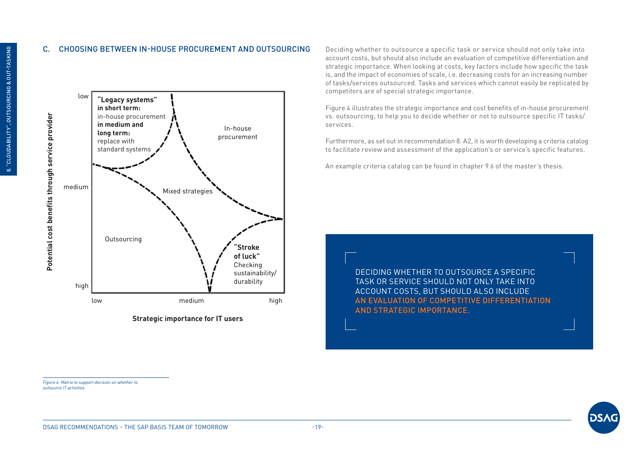#### <span id="page-18-0"></span>C. CHOOSING BETWEEN IN-HOUSE PROCUREMENT AND OUTSOURCING Deciding whether to outsource a specific task or service should not only take into





account costs, but should also include an evaluation of competitive differentiation and strategic importance. When looking at costs, key factors include how specific the task is, and the impact of economies of scale, i.e. decreasing costs for an increasing number of tasks/services outsourced. Tasks and services which cannot easily be replicated by competitors are of special strategic importance.

Figure 4 illustrates the strategic importance and cost benefits of in-house procurement vs. outsourcing, to help you to decide whether or not to outsource specific IT tasks/ services.

Furthermore, as set out in recommendation 8. A2, it is worth developing a criteria catalog to facilitate review and assessment of the application's or service's specific features.

An example criteria catalog can be found in chapter 9.6 of the master's thesis.

DECIDING WHETHER TO OUTSOURCE A SPECIFIC TASK OR SERVICE SHOULD NOT ONLY TAKE INTO ACCOUNT COSTS, BUT SHOULD ALSO INCLUDE AN EVALUATION OF COMPETITIVE DIFFERENTIATION AND STRATEGIC IMPORTANCE.

*Figure 4: Matrix to support decision on whether to outsource IT activities*

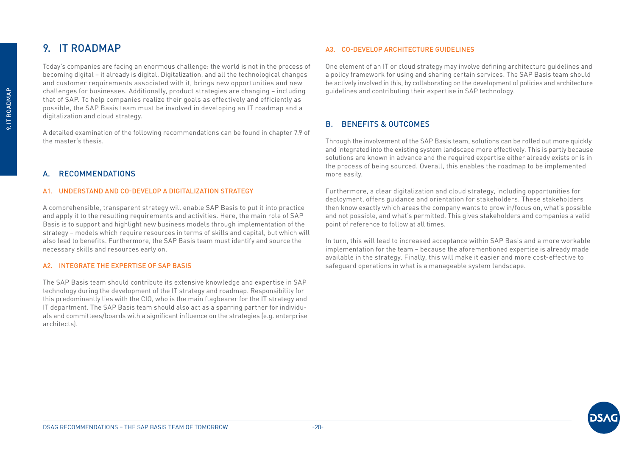## <span id="page-19-0"></span>9. IT ROADMAP

Today's companies are facing an enormous challenge: the world is not in the process of becoming digital – it already is digital. Digitalization, and all the technological changes and customer requirements associated with it, brings new opportunities and new challenges for businesses. Additionally, product strategies are changing – including that of SAP. To help companies realize their goals as effectively and efficiently as possible, the SAP Basis team must be involved in developing an IT roadmap and a digitalization and cloud strategy.

A detailed examination of the following recommendations can be found in chapter 7.9 of the master's thesis.

#### **RECOMMENDATIONS**

#### A1. UNDERSTAND AND CO-DEVELOP A DIGITALIZATION STRATEGY

A comprehensible, transparent strategy will enable SAP Basis to put it into practice and apply it to the resulting requirements and activities. Here, the main role of SAP Basis is to support and highlight new business models through implementation of the strategy – models which require resources in terms of skills and capital, but which will also lead to benefits. Furthermore, the SAP Basis team must identify and source the necessary skills and resources early on.

#### A2. INTEGRATE THE EXPERTISE OF SAP BASIS

The SAP Basis team should contribute its extensive knowledge and expertise in SAP technology during the development of the IT strategy and roadmap. Responsibility for this predominantly lies with the CIO, who is the main flagbearer for the IT strategy and IT department. The SAP Basis team should also act as a sparring partner for individuals and committees/boards with a significant influence on the strategies (e.g. enterprise architects).

#### A3. CO-DEVELOP ARCHITECTURE GUIDELINES

One element of an IT or cloud strategy may involve defining architecture guidelines and a policy framework for using and sharing certain services. The SAP Basis team should be actively involved in this, by collaborating on the development of policies and architecture guidelines and contributing their expertise in SAP technology.

#### B. BENEFITS & OUTCOMES

Through the involvement of the SAP Basis team, solutions can be rolled out more quickly and integrated into the existing system landscape more effectively. This is partly because solutions are known in advance and the required expertise either already exists or is in the process of being sourced. Overall, this enables the roadmap to be implemented more easily.

Furthermore, a clear digitalization and cloud strategy, including opportunities for deployment, offers guidance and orientation for stakeholders. These stakeholders then know exactly which areas the company wants to grow in/focus on, what's possible and not possible, and what's permitted. This gives stakeholders and companies a valid point of reference to follow at all times.

In turn, this will lead to increased acceptance within SAP Basis and a more workable implementation for the team – because the aforementioned expertise is already made available in the strategy. Finally, this will make it easier and more cost-effective to safeguard operations in what is a manageable system landscape.

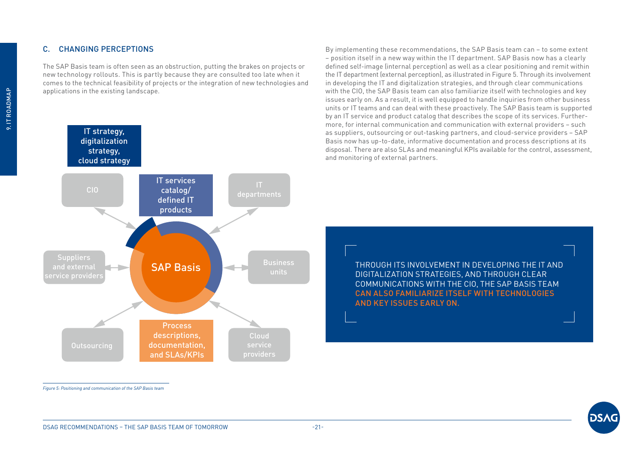#### <span id="page-20-0"></span>C. CHANGING PERCEPTIONS

The SAP Basis team is often seen as an obstruction, putting the brakes on projects or new technology rollouts. This is partly because they are consulted too late when it comes to the technical feasibility of projects or the integration of new technologies and applications in the existing landscape.



By implementing these recommendations, the SAP Basis team can – to some extent – position itself in a new way within the IT department. SAP Basis now has a clearly defined self-image (internal perception) as well as a clear positioning and remit within the IT department (external perception), as illustrated in Figure 5. Through its involvement in developing the IT and digitalization strategies, and through clear communications with the CIO, the SAP Basis team can also familiarize itself with technologies and key issues early on. As a result, it is well equipped to handle inquiries from other business units or IT teams and can deal with these proactively. The SAP Basis team is supported by an IT service and product catalog that describes the scope of its services. Furthermore, for internal communication and communication with external providers – such as suppliers, outsourcing or out-tasking partners, and cloud-service providers – SAP Basis now has up-to-date, informative documentation and process descriptions at its disposal. There are also SLAs and meaningful KPIs available for the control, assessment, and monitoring of external partners.

> THROUGH ITS INVOLVEMENT IN DEVELOPING THE IT AND DIGITALIZATION STRATEGIES, AND THROUGH CLEAR COMMUNICATIONS WITH THE CIO, THE SAP BASIS TEAM CAN ALSO FAMILIARIZE ITSELF WITH TECHNOLOGIES AND KEY ISSUES EARLY ON.

*Figure 5: Positioning and communication of the SAP Basis team*

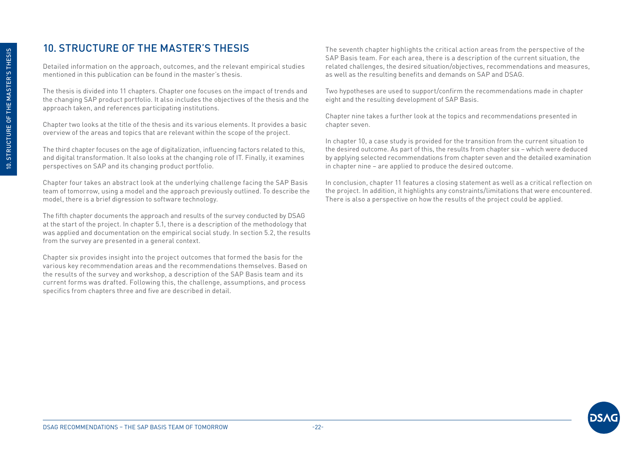## <span id="page-21-0"></span>10. STRUCTURE OF THE MASTER'S THESIS

Detailed information on the approach, outcomes, and the relevant empirical studies mentioned in this publication can be found in the master's thesis.

The thesis is divided into 11 chapters. Chapter one focuses on the impact of trends and the changing SAP product portfolio. It also includes the objectives of the thesis and the approach taken, and references participating institutions.

Chapter two looks at the title of the thesis and its various elements. It provides a basic overview of the areas and topics that are relevant within the scope of the project.

The third chapter focuses on the age of digitalization, influencing factors related to this, and digital transformation. It also looks at the changing role of IT. Finally, it examines perspectives on SAP and its changing product portfolio.

Chapter four takes an abstract look at the underlying challenge facing the SAP Basis team of tomorrow, using a model and the approach previously outlined. To describe the model, there is a brief digression to software technology.

The fifth chapter documents the approach and results of the survey conducted by DSAG at the start of the project. In chapter 5.1, there is a description of the methodology that was applied and documentation on the empirical social study. In section 5.2, the results from the survey are presented in a general context.

Chapter six provides insight into the project outcomes that formed the basis for the various key recommendation areas and the recommendations themselves. Based on the results of the survey and workshop, a description of the SAP Basis team and its current forms was drafted. Following this, the challenge, assumptions, and process specifics from chapters three and five are described in detail.

The seventh chapter highlights the critical action areas from the perspective of the SAP Basis team. For each area, there is a description of the current situation, the related challenges, the desired situation/objectives, recommendations and measures, as well as the resulting benefits and demands on SAP and DSAG.

Two hypotheses are used to support/confirm the recommendations made in chapter eight and the resulting development of SAP Basis.

Chapter nine takes a further look at the topics and recommendations presented in chapter seven.

In chapter 10, a case study is provided for the transition from the current situation to the desired outcome. As part of this, the results from chapter six – which were deduced by applying selected recommendations from chapter seven and the detailed examination in chapter nine – are applied to produce the desired outcome.

In conclusion, chapter 11 features a closing statement as well as a critical reflection on the project. In addition, it highlights any constraints/limitations that were encountered. There is also a perspective on how the results of the project could be applied.